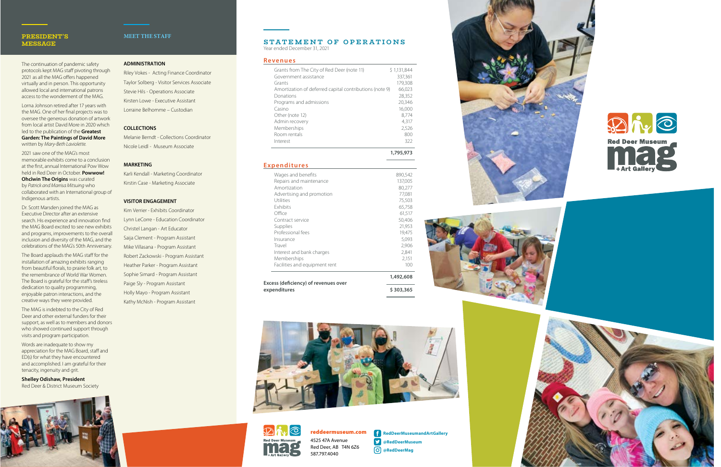4525 47A Avenue Red Deer, AB T4N 6Z6 587.797.4040

reddeermuseum.com **RedDeerMuseumandArtGallery @RedDeerMuseum @RedDeerMag**







## **PRESIDENT'S MESSAGE**

The continuation of pandemic safety protocols kept MAG staff pivoting through 2021 as all the MAG offers happened virtually and in person. This opportunity allowed local and international patrons access to the wonderment of the MAG.

Lorna Johnson retired after 17 years with the MAG. One of her final projects was to oversee the generous donation of artwork from local artist David More in 2020 which led to the publication of the **Greatest Garden: The Paintings of David More** written by *Mary-Beth Laviolette*.

2021 saw one of the MAG's most memorable exhibits come to a conclusion at the first, annual International Pow Wow held in Red Deer in October. **Powwow! Ohcîwin The Origins** was curated by *Patrick and Marrisa Mitsuing* who collaborated with an International group of Indigenous artists.

### **STATEMENT OF OPERATIONS** Year ended December 31, 2021

Dr. Scott Marsden joined the MAG as Executive Director after an extensive search. His experience and innovation find the MAG Board excited to see new exhibits and programs, improvements to the overall inclusion and diversity of the MAG, and the celebrations of the MAG's 50th Anniversary.

The Board applauds the MAG staff for the installation of amazing exhibits ranging from beautiful florals, to prairie folk art, to the remembrance of World War Women. The Board is grateful for the staff's tireless dedication to quality programming, enjoyable patron interactions, and the creative ways they were provided.

The MAG is indebted to the City of Red Deer and other external funders for their support, as well as to members and donors who showed continued support through visits and program participation.

Words are inadequate to show my appreciation for the MAG Board, staff and ED(s) for what they have encountered and accomplished. I am grateful for their tenacity, ingenuity and grit.

**Shelley Odishaw, President** Red Deer & District Museum Society



#### **Revenues**

| \$1,131,844 |
|-------------|
| 337,361     |
| 179,308     |
| 66,023      |
| 28,352      |
| 20,346      |
| 16,000      |
| 8.774       |
| 4.317       |
| 2,526       |
| 800         |
| 322         |
|             |

**1,795,973**

## **Expenditures**

| Facilities and equipment rent<br>Excess (deficiency) of revenues over | 100<br>1,492,608 |
|-----------------------------------------------------------------------|------------------|
|                                                                       |                  |
|                                                                       |                  |
| Memberships                                                           | 2,151            |
| Interest and bank charges                                             | 2,841            |
| Travel                                                                | 2,906            |
| Insurance                                                             | 5,093            |
| Professional fees                                                     | 19,475           |
| Supplies                                                              | 21,953           |
| Contract service                                                      | 50,406           |
| Office                                                                | 61,517           |
| <b>Fxhibits</b>                                                       | 65,758           |
| Utilities                                                             | 75,503           |
| Advertising and promotion                                             | 77,081           |
| Amortization                                                          | 80,277           |
| Repairs and maintenance                                               | 137,005          |
| Wages and benefits                                                    | 890,542          |







## **MEET THE STAFF**

### **ADMINISTRATION**

Riley Vokes - Acting Finance Coordinator Taylor Solberg - Visitor Services Associate Stevie Hils - Operations Associate Kirsten Lowe - Executive Assistant Lorraine Belhomme – Custodian

#### **COLLECTIONS**

Melanie Berndt - Collections Coordinator Nicole Leidl - Museum Associate

### **MARKETING**

Karli Kendall - Marketing Coordinator Kirstin Case - Marketing Associate

### **VISITOR ENGAGEMENT**

Kim Verrier - Exhibits Coordinator Lynn LeCorre - Education Coordinator Christel Langan - Art Educator Saija Clement - Program Assistant Mike Villasana - Program Assistant Robert Zackowski - Program Assistant Heather Parker - Program Assistant Sophie Simard - Program Assistant Paige Sly - Program Assistant Holly Mayo - Program Assistant Kathy McNish - Program Assistant